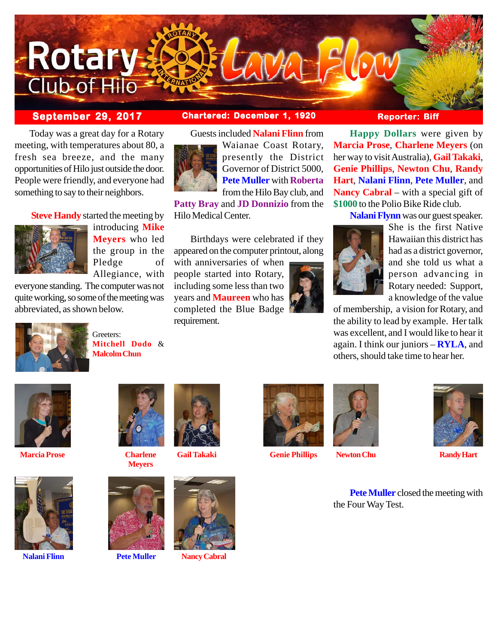

 Today was a great day for a Rotary meeting, with temperatures about 80, a fresh sea breeze, and the many opportunities of Hilo just outside the door. People were friendly, and everyone had something to say to their neighbors.

# **Steve Handy** started the meeting by



introducing **Mike Meyers** who led the group in the Pledge of Allegiance, with

everyone standing. The computer was not quite working, so some of the meeting was abbreviated, as shown below.



Greeters: **Mitchell Dodo** & **Malcolm Chun**



Guests included **Nalani Flinn** from



Waianae Coast Rotary, presently the District Governor of District 5000, **Pete Muller** with **Roberta** from the Hilo Bay club, and

**Patty Bray** and **JD Donnizio** from the Hilo Medical Center.

Birthdays were celebrated if they appeared on the computer printout, along

with anniversaries of when people started into Rotary, including some less than two years and **Maureen** who has completed the Blue Badge requirement.



**Happy Dollars** were given by **Marcia Prose**, **Charlene Meyers** (on her way to visit Australia), **Gail Takaki**, **Genie Phillips**, **Newton Chu**, **Randy Hart**, **Nalani Flinn**, **Pete Muller**, and **Nancy Cabral** – with a special gift of **\$1000** to the Polio Bike Ride club.

**Nalani Flynn** was our guest speaker.



She is the first Native Hawaiian this district has had as a district governor, and she told us what a person advancing in Rotary needed: Support, a knowledge of the value

of membership, a vision for Rotary, and the ability to lead by example. Her talk was excellent, and I would like to hear it again. I think our juniors – **RYLA**, and others, should take time to hear her.



**Marcia Prose Charlene**



**Nalani Flinn Pete Muller Nancy Cabral**



**Meyers**







**Gail Takaki Genie Phillips Newton Chu Randy Hart**



**Pete Muller** closed the meeting with the Four Way Test.



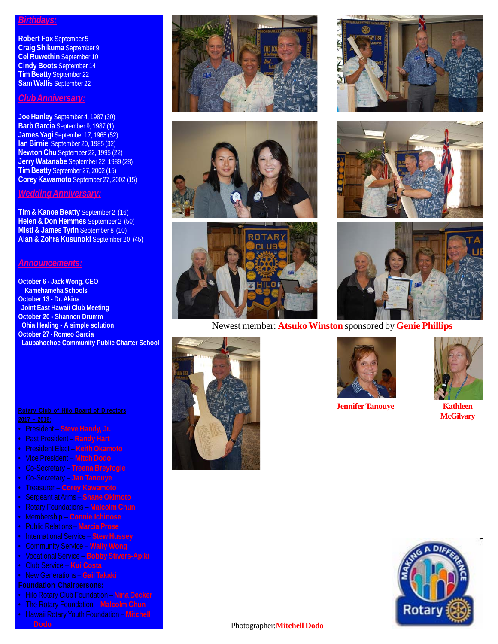### *Birthdays:*

**Robert Fox** September 5 **Craig Shikuma** September 9 **Cel Ruwethin** September 10 **Cindy Boots** September 14 **Tim Beatty** September 22 **Sam Wallis** September 22

# *Club Anniversary:*

**Joe Hanley** September 4, 1987 (30) **Barb Garcia** September 9, 1987 (1) **James Yagi** September 17, 1965 (52) **Ian Birnie** September 20, 1985 (32) **Newton Chu** September 22, 1995 (22) **Jerry Watanabe** September 22, 1989 (28) **Tim Beatty** September 27, 2002 (15) **Corey Kawamoto** September 27, 2002 (15)

### *Wedding Anniversary:*

**Tim & Kanoa Beatty** September 2 (16) **Helen & Don Hemmes** September 2 (50) **Misti & James Tyrin** September 8 (10) **Alan & Zohra Kusunoki** September 20 (45)

### *Announcements:*

**October 6 - Jack Wong, CEO Kamehameha Schools October 13 - Dr. Akina Joint East Hawaii Club Meeting October 20 - Shannon Drumm Ohia Healing - A simple solution October 27 - Romeo Garcia Laupahoehoe Community Public Charter School**

- President **Steve Handy, Jr.**
- Past President **Randy Hart**
- President Elect **Keith Okamoto**
- Vice President **Mitch Dodo**
- Co-Secretary **Treena Breyfogle**
- Co-Secretary **Jan Tanouye**
- Treasurer **Corey Kawamoto**
- 
- 
- Membership **Connie Ichinose**
- Public Relations **Marcia Prose**
- International Service **Stew Hussey**
- Community Service **Wally Wong**
- Vocational Service **Bobby Stivers-Apiki**
- Club Service **Kui Costa**
- New Generations **Gail Takaki**

- Hilo Rotary Club Foundation **Nina Decker**
- The Rotary Foundation **Malcolm Chun**
- Hawaii Rotary Youth Foundation **Mitchell Dodo** Photographer:**Mitchell Dodo**













## Newest member: **Atsuko Winston** sponsored by **Genie Phillips**





**Jennifer Tanouye Kathleen**



**McGilvary**